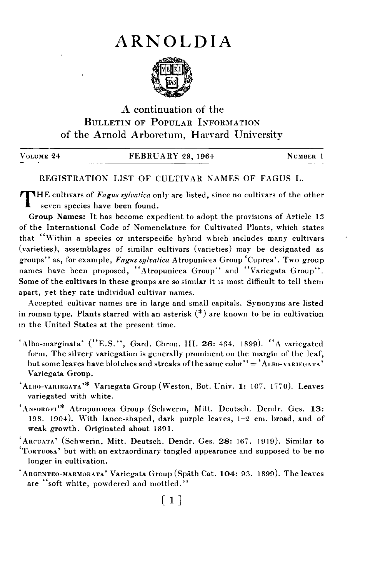## ARNOLDIA



## A continuation of the BULLETIN OF POPULAR INFORMATION of the Arnold Arboretum, Harvard University

| VOLUME 24 | <b>FEBRUARY 28, 1964</b> | NUMBER 1 |  |
|-----------|--------------------------|----------|--|
|           |                          |          |  |

## REGISTRATION LIST OF CULTIVAR NAMES OF FAGUS L.

**THE cultivars of Fagus sylvatica only are listed, since no cultivars of the other** seven species have been found.

Group Names: It has become expedient to adopt the provisions of Article 13 of the International Code of Nomenclature for Cultivated Plants, which states that "Within a species or interspecific hybrid which includes many cultivars (varieties), assemblages of similar cultivars (varieties) may be designated as groups" as, for example, Fagus sylvatica Atropunicea Group 'Cuprea'. Two group names have been proposed, "Atropunicea Group" and "Variegata Group". Some of the cultivars in these groups are so similar it is most difficult to tell them apart, yet they rate individual cultivar names.

Accepted cultivar names are in large and small capitals. Synonyms are listed in roman type. Plants starred with an asterisk  $(*)$  are known to be in cultivation in the United States at the present time.

'Albo-marginata' ("E.S.", Gard. Chron. III. 26:  $434.$  1899). "A variegated form. The silvery variegation is generally prominent on the margin of the leaf, but some leaves have blotches and streaks of the same color" =  $A$ LBO-VARIEGATA' Variegata Group.

 $'A$ LBO-VARIEGATA<sup>,\*</sup> Variegata Group (Weston, Bot. Univ. 1: 107. 1770). Leaves variegated with white.

'ANSORGFI<sup>\*\*</sup> Atropunicea Group (Schwerin, Mitt. Deutsch. Dendr. Ges. 13: 198. 1904). With lance-shaped, dark purple leaves, 1-2 cm. broad, and of weak growth. Originated about 1891.

'Arcuara' (Schwerin, Mitt. Deutsch. Dendr. Ges. 28: 167. 1919). Similar to 'Torruosa' but with an extraordinary tangled appearance and supposed to be no longer in cultivation.

 $'A$ RGENTEO-MARMORATA' Variegata Group (Späth Cat. 104: 93. 1899). The leaves are "soft white, powdered and mottled."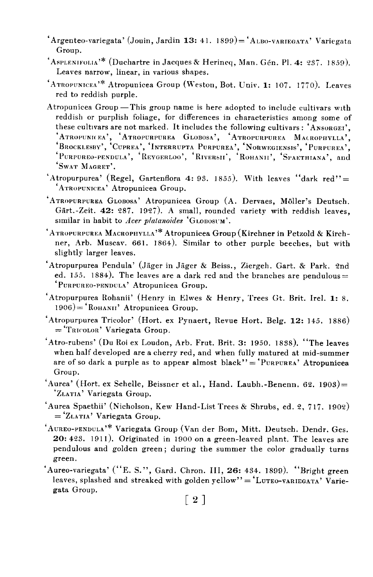- 'Argenteo-variegata' (Jouin, Jardin 13: 41. 1899) = 'ALBO-VARIEGATA' Variegata Group.
- $A$ SPLENIFOLIA<sup>\*\*</sup> (Duchartre in Jacques & Herineq, Man. Gén. Pl. 4: 237, 1859). Leaves narrow, linear, in various shapes.
- $'A$ TROPUNICEA'\* Atropunicea Group (Weston, Bot. Univ. 1: 107, 1770). Leaves red to reddish purple.
- Atropunicea Group-This group name is here adopted to include cultivars with reddish or purplish foliage, for differences in characteristics among some of these cultivars are not marked. It includes the following cultivars: 'ANSORGEI'. these cultivars are not marked. It includes the following cultivars : 'ANSORGEI', 'Atropunicea', 'Atropurpurea Globosa', 'Atropurpurea Macrophylla', 'Brocklesby', 'Cuprea', 'Interrupta Purpurea', 'Norwegiensis', 'Purpurea', 'PURPUREO-PENDULA', 'REYGERLOO', 'RIVERSII', 'ROHANII', 'SPAETHIANA', and 'SWAT MAGRET'.
- 'Atropurpurea' (Regel, Gartenflora 4: 93. 1855). With leaves "dark red" = 'ATROPUNICEA' Atropunicea Group.
- 'ATROPURPUREA GLOBOSA' Atropunicea Group (A. Dervaes, Moller's Deutsch. Gart.-Zeit. 42: 287. 1927). A small, rounded variety with reddish leaves, similar in habit to Acer platanoides 'GLOBOSUM'.
- 'ATROPURPUREA MACROPHYLLA<sup>,\*</sup> Atropunicea Group (Kirchner in Petzold & Kirchner, Arb. Muscav. 661. 1864). Similar to other purple beeches, but with slightly larger leaves.
- 'Atropurpurea Pendula' (Jager in Jager & Beiss., Ziergeh. Gart. & Park. 2nd ed. 155. 1884). The leaves are a dark red and the branches are pendulous= 'PURPUREO-PENDULA' Atropunicea Group.
- 'Atropurpurea Rohanii' (Henry in Elwes & Henry, Trees Gt. Brit. Irel. 1: 8.  $1906$  = 'RoHANII' Atropunicea Group.
- 'Atropurpurea Tricolor' (Hort. ex Pynaert, Revue Hort. Belg. 12: 145. 1886)  $=$ 'TRICOLOR' Variegata Group.
- 'Atro-rubens' (Du Roi ex Loudon, Arb. Frut. Brit. 3: 1950. 1838). "The leaves when half developed are a cherry red, and when fully matured at mid-summer are of so dark a purple as to appear almost black" =  $'P$ URPUREA' Atropunicea Group.
- 'Aurea' (Hort. ex Schelle, Beissner et al., Hand. Laubh.-Benenn. 62. 1903)= 'ZLATIA' Variegata Group.
- 'Aurea Spaethii' (Nicholson, Kew Hand-List Trees & Shrubs, ed. 2, 717. 1902)  $=$ 'ZLATIA' Variegata Group.
- 'AuREO-PENDULA'\* Variegata Group (Van der Bom, Mitt. Deutsch. Dendr. Ges.  $20: 423.$  1911). Originated in 1900 on a green-leaved plant. The leaves are pendulous and golden green; during the summer the color gradually turns green.
- 'Aureo-variegata' ("E. S.", Gard. Chron. III, 26: 434. 1899). "Bright green leaves, splashed and streaked with golden yellow" ='LUTEO-VARIEGATA' Variegata Group.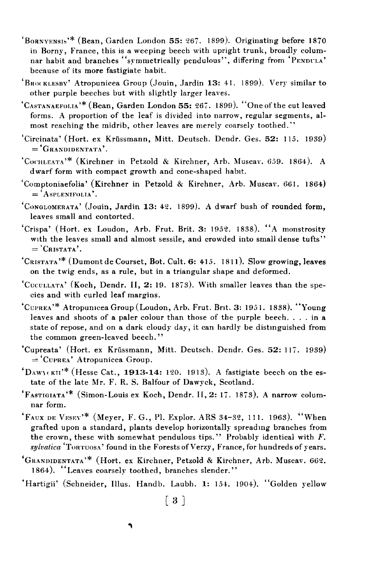- 'BORNYENSIS'\* (Bean, Garden London 55: 267, 1899). Originating before 1870 in Borny, France, this is a weeping beech with upright trunk, broadly columnar habit and branches "symmetrically pendulous", differing from 'PENDULA' because of its more fastigiate habit.
- 'BRO< KLESRV' Atropunicea Group (Jouin, Jardin 13: 41. 1899). Very similar to other purple beeches but with slightly larger leaves.
- 'CASTANAEFOLIA'\* (Bean, Garden London 55: 267. 1899). "One of the cut leaved forms. A proportion of the leaf is divided into narrow, regular segments, almost reaching the midrib, other leaves are merely coarsely toothed.''
- 'Circinata' (Hort. ex Krüssmann, Mitt. Deutsch. Dendr. Ges. 52: 115. 1939)<br>= 'GRANDIDENTATA'.
- 'CooHI.EATA'\* (Kirchner in Petzold & Kirchner, Arb. Muscav. 659. 1864). A dwarf form with compact growth and cone-shaped habit.
- 'Comptoniaefolia' (Kirchner in Petzold & Kirchner, Arb. Muscav. 661. 1864)<br>= 'ASPLENIFOLIA'.
- 'Conclomerata' (Jouin, Jardin 13: 42. 1899). A dwarf bush of rounded form, leaves small and contorted.
- 'Crispa' (Hort. ex Loudon, Arb. Frut. Brit. 3: 1952. 1838). "A monstrosity with the leaves small and almost sessile, and crowded into small dense tufts"  $=$  'CRISTATA'.
- 'CRISTATA'\* (Dumont de Courset, Bot. Cult. 6: 415. 1811). Slow growing, leaves on the twig ends, as a rule, but in a triangular shape and deformed.
- 'CUCULLATA' (Koch, Dendr. II, 2: 19. 1873). With smaller leaves than the species and with curled leaf margins.
- 'Cuprea'\* Atropunicea Group (Loudon, Arb. Frut. Brit. 3: 1951. 1838). "Young leaves and shoots of a paler colour than those of the purple beech.... in a state of repose, and on a dark cloudy day, it can hardly be distmguished from the common green-leaved beech."
- 'Cupreata' (Hort. ex Krussmann, Mitt. Deutsch. Dendr. Ges. 52: 117. 1939) ='CUPREA' Atropunicea Group.
- $\text{`Daw}$  (KHI)\* (Hesse Cat., 1913-14: 120. 1913). A fastigiate beech on the estate of the late Mr. F. R. S. Balfour of Dawyck, Scotland.
- 'FASTIGIATA'\* (Simon-Louis ex Koch, Dendr. 11,2: 17. 1873). A narrow columnar form.
- $'$ FAUX DE VESEY'\* (Meyer, F. G., Pl. Explor. ARS 34-32, 111. 1963). "When grafted upon a standard, plants develop horizontally spreadmg branches from the crown, these with somewhat pendulous tips." Probably identical with  $F$ . sylvatica 'TORTUOSA' found in the Forests of Verzy, France, for hundreds of years.
- GRANDIDENTATA'\* (Hort. ex Kirchner, Petzold & Kirchner, Arb. Muscav. 662. 1864). "Leaves coarsely toothed, branches slender."
- 'Hartigii' (Schneider, Illus. Handb. Laubh. 1: 154. 1904). "Golden yellow

 $\lceil 3 \rceil$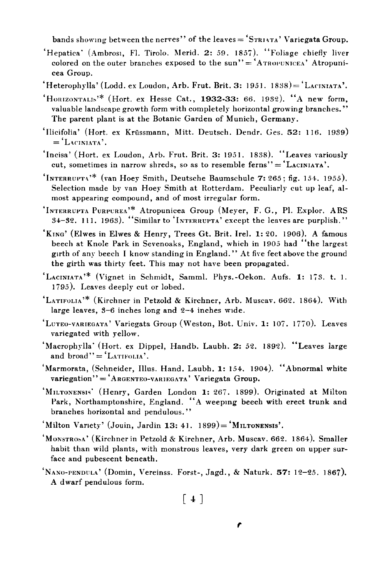bands showing between the nerves" of the leaves = 'STRIATA' Variegata Group.

- 'Hepatica' (Ambros1, Fl. Tirolo. Merid. 2: 59. 1857). "Foliage chiefly liver colored on the outer branches exposed to the sun" $=$ 'ATROPUNICEA' Atropunicea Group.
- $'$ Heterophylla' (Lodd. ex Loudon, Arb. Frut. Brit. 3: 1951. 1838)= $'$ LACINIATA'.
- 'HORIZONTALIS'\* (Hort. ex Hesse Cat., 1932-33: 66. 1932). "A new form, valuable landscape growth form with completely horizontal growing branches." The parent plant is at the Botanic Garden of Munich, Germany.
- 'Ilicifolia' (Hort. ex Krüssmann, Mitt. Deutsch. Dendr. Ges. 52: 116. 1939)<br>= 'LACINIATA'.
- 'Incisa' (Hort. ex Loudon, Arb. Frut. Brit. 3: 1951. 1838). "Leaves variously cut, sometimes in narrow shreds, so as to resemble ferns'' =  $'$  LACINIATA'.
- 'INTERRUPT4'\* (van Hoey Smith, Deutsche Baumschule 7: 265; fig. 154. 1955). Selection made by van Hoey Smith at Rotterdam. Peculiarly cut up leaf, almost appearing compound, and of most irregular form.
- 'INTERRUPTA PURPUREA'\* Atropunicea Group (Meyer, F. G., Pl. Explor. ARS  $34-32.$  111. 1963). "Similar to 'INTERRUPTA' except the leaves are purplish."
- 'Krhc' (Elwes in Elwes & Henry, Trees Gt. Brit. Irel. 1: 20. 1906). A famous beech at Knole Park in Sevenoaks, England, which in 1905 had "the largest girth of any beech I know standing in England. " At five feet above the ground the girth was thirty feet. This may not have been propagated.
- 'LACINIATA'\* (Vignet in Schmidt, Samml. Phys.-Oekon. Aufs. 1: 173. t. 1. 1 795). Leaves deeply cut or lobed.
- 'LATIFOLIA'\* (Kirchner in Petzold & Kirchner, Arb. Muscav. 662. 1864). With large leaves, 3-6 inches long and 2-4 inches wrde.
- 'LUTEO-VARIEGATA' Variegata Group (Weston, Bot. Univ. 1: 107. 1770). Leaves variegated with yellow.
- 'MacrophylIa' (Hort. ex Dippel, Handb. Laubh. 2: 52. 1892). "Leaves large and  $broad'' = 'LATIFOLIA'.$
- 'Marmorata, (Schneider, Illus. Hand. Laubh. 1: 154. 1904). "Abnormal white  $variegation' = 'A$ RGENTEO-VARIEGATA' Variegata Group.
- 'MILTONENSIS' (Henry, Garden London 1: 267. 1899). Originated at Milton Park, Northamptonshire, England. "A weepmg beech with erect trunk and branches horizontal and pendulous."
- 'Milton Variety' (Jouin, Jardin 13: 41.  $1899$ ) = 'MILTONENSIS'.
- 'MonsTeoaa' (Kirchner in Petzold & Kirchner, Arb. Muscav. 662. 1864). Smaller habit than wild plants, with monstrous leaves, very dark green on upper surface and pubescent beneath.
- 'Nano-pennula' (Domin, Vereinss. Forst-, Jagd., & Naturk. 57: 12-25. 1867). A dwarf pendulous form.

 $[4]$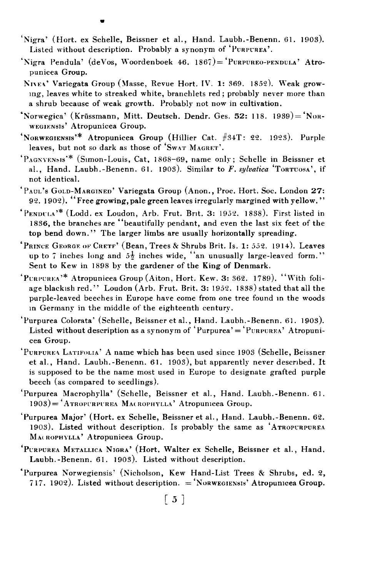- 'Nigra' (Hort. ex Schelle, Beissner et al., Hand. Laubh.-Benenn. 61. 1903). Listed without description. Probably a synonym of 'PURPUREA'.
- 'Nigra Pendula' (deVos, Woordenboek 46. 1867)= 'Purpureo-pendula' Atropunicea Group.
- NIVEA' Variegata Group (Masse, Revue Hort. IV. 1: 369. 1852). Weak growing, leaves white to streaked white, branchlets red ; probably never more than a shrub because of weak growth. Probably not now in cultivation.
- 'Norwegica' (Krüssmann, Mitt. Deutsch. Dendr. Ges. 52: 118. 1939)= 'NoR-WEGIENSIS' Atropunicea Group.
- 'Norwegiensis'\* Atropunicea Group (Hillier Cat.  $#34T: 22.$  1923). Purple leaves, but not so dark as those of 'SWAT MAGRET'.
- 'Pagnyensis'\* (Simon-Louis, Cat, 1868-69, name only; Schelle in Beissner et al., Hand. Laubh.-Benenn. 61. 1903). Similar to  $F$ . sylvatica 'TorTUOSA', if not identical.
- 'PAUL's GOLD-MARGINED' Variegata Group (Anon., Proc. Hort. Soc. London 27: 92. 1902). "Free growing, pale green leaves irregularly margined with yellow. "
- 'PENUri.a'\* (Lodd. ex Loudon, Arb. Frut. Brit. 3: 1952. 1838). First listed in 1836, the branches are "beautifully pendant, and even the last six feet of the top bend down." The larger limbs are usually horizontally spreading.
- 'PRINCE GEORGE OF CRETF' (Bean, Trees & Shrubs Brit. Is. 1: 552. 1914). Leaves up to 7 inches long and  $5\frac{1}{2}$  inches wide, "an unusually large-leaved form." Sent to Kew in 1898 by the gardener of the King of Denmark.
- $'$ PURPUREA<sup>+\*</sup> Atropunicea Group (Aiton, Hort. Kew. 3: 362. 1789). "With foliage blackish red." Loudon (Arb. Frut. Brit. 3: 1952. 1838) stated that all the purple-leaved beeches in Europe have come from one tree found in the woods in Germany in the middle of the eighteenth century.
- 'Purpurea Colorata' (Schelle, Beissner et al., Hand. Laubh.-Benenn. 61. 1903). Listed without description as a synonym of 'Purpurea' = 'PURPUREA' Atropunicea Group.
- 'PurpureA LATIFOLIA' A name which has been used since 1903 (Schelle, Beissner et al., Hand. Laubh.-Benenn. 61. 1903), but apparently never described. It is supposed to be the name most used in Europe to designate grafted purple beech (as compared to seedlings).
- 'Purpurea Macrophylla' (Schelle, Beissner et al., Hand. Laubh.-Benenn. 61.  $1903$  = ATROPURPUREA MACROPHYLLA' Atropunicea Group.
- 'Purpurea Major' (Hort. ex Schelle, Beissner et al., Hand. Laubh.-Benenn. 62. 1903). Listed without description. Is probably the same as 'ATROPURPUREA MACROPHYLLA' Atropunicea Group.
- 'PURPUREA METALLICA NIGRA' (Hort. Walter ex Schelle, Beissner et al., Hand. Laubh.-Benenn. 61. 1903). Listed without description.
- 'Purpurea Norwegiensis' (Nicholson, Kew Hand-List Trees & Shrubs, ed. 2, 717. 1902). Listed without description. ='NORWEGIENSIS' Atropunicea Group.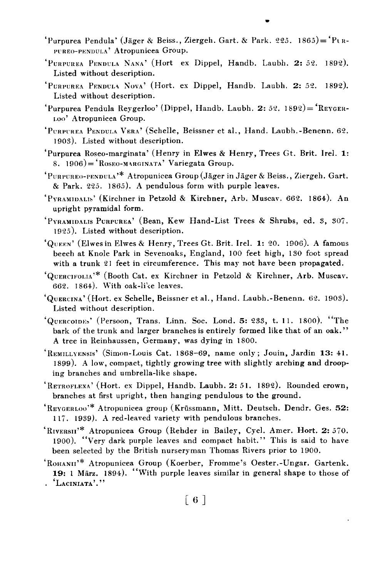- 'Purpurea Pendula' (Jäger & Beiss., Ziergeh. Gart. & Park. 225. 1865)=  $P_{LR}$ -PrREO-PENDULA' Atropunicea Group.
- 'PURPUREA PENDULA NANA' (Hort ex Dippel, Handb. Laubh. 2: 52. 1892). Listed without description.
- PURPUREA PENDULA NOVA' (Hort. ex Dippel, Handb. Laubh. 2: 52. 1892). Listed without description.
- 'Purpurea Pendula Reygerloo' (Dippel, Handb. Laubh. 2: 52. 1892)= 'REVGER-Loo' Atropunicea Group.
- 'PURPUREA PENDULA VERA' (Schelle, Beissner et al., Hand. Laubh.-Benenn. 62. 1903). Listed without description.
- 'Purpurea Roseo-marginata' (Henry in Elwes & Henry, Trees Gt. Brit. Irel. 1: 8. 1906)= $"Roseo-MARGINATA" Varie**gata Group**.$
- 'PURPUREO-PENDULA'\* Atropunicea Group (Jäger in Jäger & Beiss., Ziergeh. Gart. & Park. 225. 1865). A pendulous form with purple leaves.
- 'PvRAMIDALIS' (Kirchner in Petzold & Kirchner, Arb. Muscav. 662. 1864). An upright pyramidal form.
- 'PYRAMIDALIS PURPUREA' (Bean, Kew Hand-List Trees & Shrubs, ed. 3, 307. 1925). Listed without description.
- ' $Q_{\text{UEEN}}$ ' (Elwes in Elwes & Henry, Trees Gt. Brit. Irel. 1: 20. 1906). A famous beech at Knole Park in Sevenoaks, England, 100 feet high, 130 foot spread with a trunk 21 feet in circumference. This may not have been propagated.
- 'QUERCIFOL1A'\* (Booth Cat. ex Kirchner in Petzold & Kirchner, Arb. Muscav. 662. 1864). With oak-li'ze leaves.
- 'QUERCINA' (Hort. ex Schelle, Beissner et al., Hand. Laubh.-Benenn. 62. 1903). Listed without description.
- 'QUERCOIDES' (Persoon, Trans. Linn. Soc. Lond. 5: 233, t. 11. 1800). "The bark of the trunk and larger branches is entirely formed like that of an oak." A tree in Reinhaussen, Germany, was dying in 1800.
- 'REMiLLVENSIS' (Simon-Louis Cat. 1868-69, name only; Jouin, Jardin 13: 41. 1899). A low, compact, tightly growing tree with slightly arching and drooping branches and umbrella-like shape.
- 'RETROFLExA' (Hort. ex Dippel, Handb. Laubh. 2: 51. 1892). Rounded crown, branches at first upright, then hanging pendulous to the ground.
- 'REYGERLOO'\* Atropunicea group (Krussmann, Mitt. Deutsch. Dendr. Ges. 52: 117. 1939). A red-leaved variety with pendulous branches.
- 'RIVERSII'\* Atropunicea Group (Rehder in Bailey, Cycl. Amer. Hort. 2: 570. 1900). "Very dark purple leaves and compact habit." This is said to have been selected by the British nurseryman Thomas Rivers prior to 1900.
- 'RoHANII'\* Atropunicea Group (Koerber, Fromme's Oester.-Ungar. Gartenk. 19: 1 März. 1894). "With purple leaves similar in general shape to those of . 'LACINIATA'."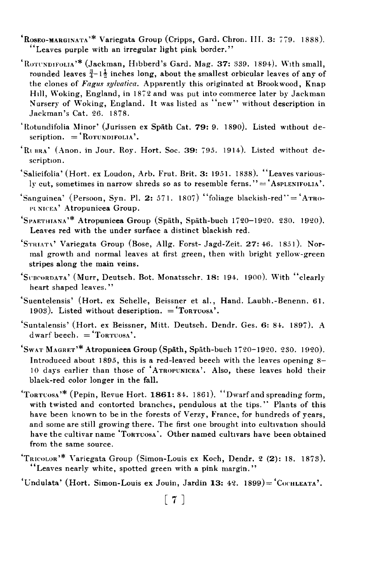- 'R03E0-MARGINATA'\* Variegata Group (Cripps, Gard. Chron. III. 3: 7 79. 1888). "Leaves purple with an irregular light pink border."
- 'ROTUNDIFOLIA'\* (Jackman, Hibberd's Gard. Mag. 37: 339. 1894). With small, rounded leaves  $\frac{3}{4}$ -1 $\frac{1}{2}$  inches long, about the smallest orbicular leaves of any of the clones of Fagus sylvatica. Apparently this originated at Brookwood, Knap Hill, Woking, England, in 1872 and was put into commerce later by Jackman Nursery of Woking, England. It was listed as "new" without description in Jackman's Cat. 26. 1878.
- 'Rotundifolia Minor' (Jurissen ex Späth Cat. 79: 9. 1890). Listed without de- $\text{scrition.} = 'Rorunprol1A'.$
- 'RUBRA' (Anon. in Jour. Roy. Hort. Soc. 39: 795. 1914). Listed without description.
- 'Salicifolia' (Hort. ex Loudon, Arb. Frut. Brit. 3: 1951. 1838). "Leaves variously cut, sometimes in narrow shreds so as to resemble ferns." $=$  'Asplenifolia'.
- 'Sanguinea' (Persoon, Syn. Pl. 2: 571. 1807) "foliage blackish-red" = 'ATRO-PUNICEA' Atropunicea Group.
- 'SPAETHIANA'\* Atropunicea Group (Späth, Späth-buch 1720-1920. 230. 1920). Leaves red with the under surface a distinct blackish red.
- 'STRIATA' Variegata Group (Bose, Allg. Forst- Jagd-Zeit. 27: 46. 1851). Normal growth and normal leaves at first green, then with bright yellow-green stripes along the main veins.
- 'SUBCORDATA' (Murr, Deutsch. Bot. Monatsschr. 18: 194. 1900). With "clearly heart shaped leaves."
- 'Suentelensis' (Hort. ex Schelle, Beissner et al., Hand. Laubh.-Benenn. 61. 1903). Listed without description.  $=$  Torrosa'.
- 'Suntalensis' (Hort. ex Beissner, Mitt. Deutsch. Dendr. Ges. 6: 84. 1897). A dwarf beech.  $=$  'Torruosa'.
- SWAT MAGRET'\* Atropunicea Group (Spath, Spath-buch 1 7 20-1920. 230. 1920). Introduced about 1895, this is a red-leaved beech with the leaves opening 8- 10 days earlier than those of 'ATROPUNICEA'. Also, these leaves hold their black-red color longer in the fall.
- $'$ TorT $\cos A'$ <sup>\*</sup> (Pepin, Revue Hort. 1861: 84. 1861). "Dwarf and spreading form, with twisted and contorted branches, pendulous at the tips.'' Plants of this have been known to be in the forests of Verzy, France, for hundreds of years, and some are still growing there. The first one brought into cultivation should have the cultivar name 'ToRTUOSA'. Other named cultivars have been obtained from the same source.
- 'TRICOLOR'\* Variegata Group (Simon-Louis ex Koch, Dendr. 2 (2): 18. 1873). "Leaves nearly white, spotted green with a pink margin."

'Undulata' (Hort. Simon-Louis ex Jouin, Jardin 13: 42. 1899) = 'CochLEATA'.